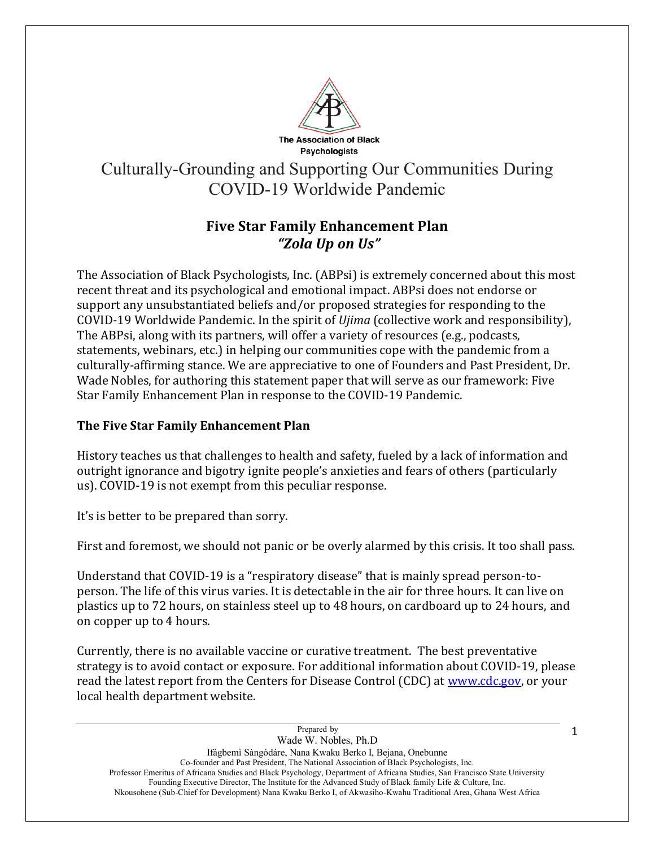

## Culturally-Grounding and Supporting Our Communities During COVID-19 Worldwide Pandemic

## **Five Star Family Enhancement Plan** *"Zola Up on Us"*

The Association of Black Psychologists, Inc. (ABPsi) is extremely concerned about this most recent threat and its psychological and emotional impact. ABPsi does not endorse or support any unsubstantiated beliefs and/or proposed strategies for responding to the COVID-19 Worldwide Pandemic. In the spirit of *Ujima* (collective work and responsibility), The ABPsi, along with its partners, will offer a variety of resources (e.g., podcasts, statements, webinars, etc.) in helping our communities cope with the pandemic from a culturally-affirming stance. We are appreciative to one of Founders and Past President, Dr. Wade Nobles, for authoring this statement paper that will serve as our framework: Five Star Family Enhancement Plan in response to the COVID-19 Pandemic.

## **The Five Star Family Enhancement Plan**

History teaches us that challenges to health and safety, fueled by a lack of information and outright ignorance and bigotry ignite people's anxieties and fears of others (particularly us). COVID-19 is not exempt from this peculiar response.

It's is better to be prepared than sorry.

First and foremost, we should not panic or be overly alarmed by this crisis. It too shall pass.

Understand that COVID-19 is a "respiratory disease" that is mainly spread person-toperson. The life of this virus varies. It is detectable in the air for three hours. It can live on plastics up to 72 hours, on stainless steel up to 48 hours, on cardboard up to 24 hours, and on copper up to 4 hours.

Currently, there is no available vaccine or curative treatment. The best preventative strategy is to avoid contact or exposure. For additional information about COVID-19, please read the latest report from the Centers for Disease Control (CDC) at [www.cdc.gov,](http://www.cdc.gov/) or your local health department website.

1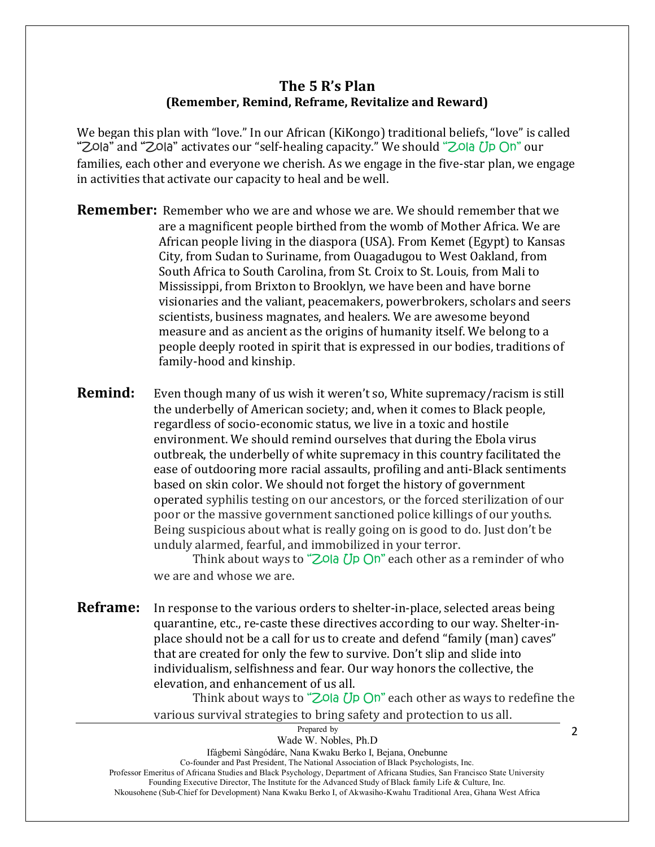## **The 5 R's Plan (Remember, Remind, Reframe, Revitalize and Reward)**

We began this plan with "love." In our African (KiKongo) traditional beliefs, "love" is called "Zola" and "Zola" activates our "self-healing capacity." We should "Zola Up On" our families, each other and everyone we cherish. As we engage in the five-star plan, we engage in activities that activate our capacity to heal and be well.

- **Remember:** Remember who we are and whose we are. We should remember that we are a magnificent people birthed from the womb of Mother Africa. We are African people living in the diaspora (USA). From Kemet (Egypt) to Kansas City, from Sudan to Suriname, from Ouagadugou to West Oakland, from South Africa to South Carolina, from St. Croix to St. Louis, from Mali to Mississippi, from Brixton to Brooklyn, we have been and have borne visionaries and the valiant, peacemakers, powerbrokers, scholars and seers scientists, business magnates, and healers. We are awesome beyond measure and as ancient as the origins of humanity itself. We belong to a people deeply rooted in spirit that is expressed in our bodies, traditions of family-hood and kinship.
- **Remind:** Even though many of us wish it weren't so, White supremacy/racism is still the underbelly of American society; and, when it comes to Black people, regardless of socio-economic status, we live in a toxic and hostile environment. We should remind ourselves that during the Ebola virus outbreak, the underbelly of white supremacy in this country facilitated the ease of outdooring more racial assaults, profiling and anti-Black sentiments based on skin color. We should not forget the history of government operated syphilis testing on our ancestors, or the forced sterilization of our poor or the massive government sanctioned police killings of our youths. Being suspicious about what is really going on is good to do. Just don't be unduly alarmed, fearful, and immobilized in your terror.

Think about ways to " $Z$ Ola Up On" each other as a reminder of who we are and whose we are.

**Reframe:** In response to the various orders to shelter-in-place, selected areas being quarantine, etc., re-caste these directives according to our way. Shelter-inplace should not be a call for us to create and defend "family (man) caves" that are created for only the few to survive. Don't slip and slide into individualism, selfishness and fear. Our way honors the collective, the elevation, and enhancement of us all.

> Think about ways to "Zola Up On" each other as ways to redefine the various survival strategies to bring safety and protection to us all.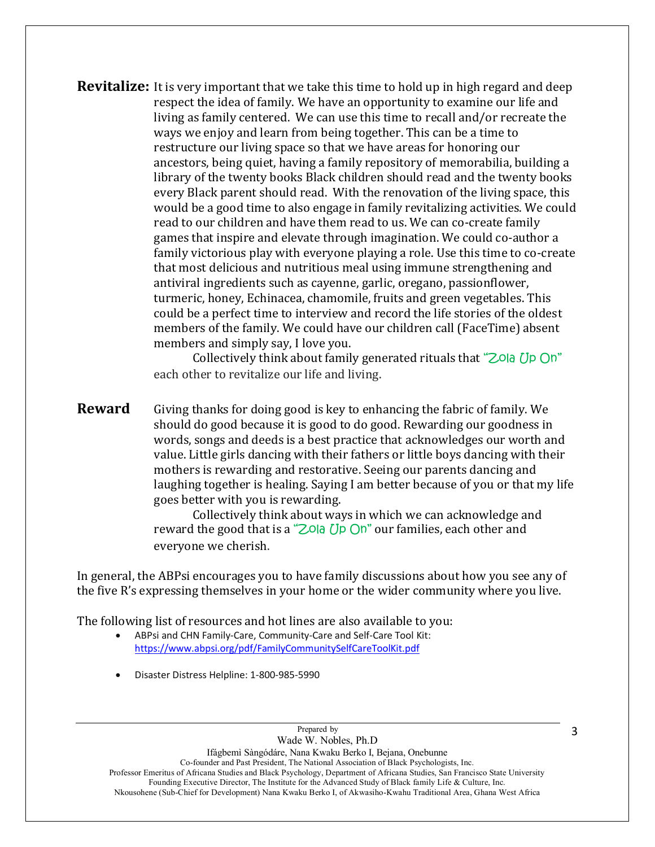**Revitalize:** It is very important that we take this time to hold up in high regard and deep respect the idea of family. We have an opportunity to examine our life and living as family centered. We can use this time to recall and/or recreate the ways we enjoy and learn from being together. This can be a time to restructure our living space so that we have areas for honoring our ancestors, being quiet, having a family repository of memorabilia, building a library of the twenty books Black children should read and the twenty books every Black parent should read. With the renovation of the living space, this would be a good time to also engage in family revitalizing activities. We could read to our children and have them read to us. We can co-create family games that inspire and elevate through imagination. We could co-author a family victorious play with everyone playing a role. Use this time to co-create that most delicious and nutritious meal using immune strengthening and antiviral ingredients such as cayenne, garlic, oregano, passionflower, turmeric, honey, Echinacea, chamomile, fruits and green vegetables. This could be a perfect time to interview and record the life stories of the oldest members of the family. We could have our children call (FaceTime) absent members and simply say, I love you.

> Collectively think about family generated rituals that "Zola Up On" each other to revitalize our life and living.

**Reward** Giving thanks for doing good is key to enhancing the fabric of family. We should do good because it is good to do good. Rewarding our goodness in words, songs and deeds is a best practice that acknowledges our worth and value. Little girls dancing with their fathers or little boys dancing with their mothers is rewarding and restorative. Seeing our parents dancing and laughing together is healing. Saying I am better because of you or that my life goes better with you is rewarding.

> Collectively think about ways in which we can acknowledge and reward the good that is a "Zola Up On" our families, each other and everyone we cherish.

In general, the ABPsi encourages you to have family discussions about how you see any of the five R's expressing themselves in your home or the wider community where you live.

The following list of resources and hot lines are also available to you:

- ABPsi and CHN Family-Care, Community-Care and Self-Care Tool Kit: <https://www.abpsi.org/pdf/FamilyCommunitySelfCareToolKit.pdf>
- Disaster Distress Helpline: 1-800-985-5990